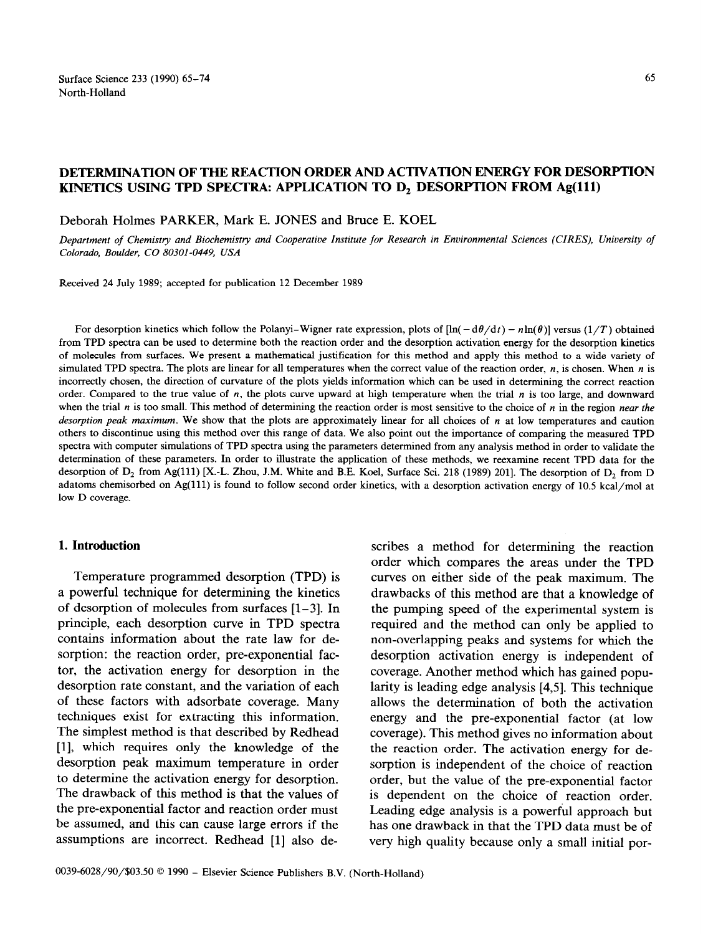#### 65

# **DETERMINATION OF THE REACTION ORDER AND ACTIVATION ENERGY FOR DESORPTION KINETICS USING TPD SPECTRA: APPLICATION TO D, DESORPTION FROM Ag(ll1)**

Deborah Holmes PARKER, Mark E. JONES and Bruce E. KOEL

*Department of Chemistry and Biochemistry and Cooperative Institute for Research in Environmental Sciences (CIRES), University of Colorado, Boulder, CO 80301-0449, USA* 

Received 24 July 1989; accepted for publication 12 December 1989

For desorption kinetics which follow the Polanyi-Wigner rate expression, plots of  $[\ln(-d\theta/dt) - n\ln(\theta)]$  versus  $(1/T)$  obtained from TPD spectra can be used to determine both the reaction order and the desorption activation energy for the desorption kinetics of molecules from surfaces. We present a mathematical justification for this method and apply this method to a wide variety of simulated TPD spectra. The plots are linear for all temperatures when the correct value of the reaction order,  $n$ , is chosen. When  $n$  is incorrectly chosen, the direction of curvature of the plots yields information which can be used in determining the correct reaction order. Compared to the true value of n, the plots curve upward at high temperature when the trial *n* is too large, and downward when the trial *n* is too small. This method of determining the reaction order is most sensitive to the choice of *n* in the region *near the desorption peak maximum.* We show that the plots are approximately linear for all choices of *n* at low temperatures and caution others to discontinue using this method over this range of data. We also point out the importance of comparing the measured TPD spectra with computer simulations of TPD spectra using the parameters determined from any analysis method in order to validate the determination of these parameters. In order to illustrate the application of these methods, we reexamine recent TPD data for the desorption of  $D_2$  from Ag(111) [X.-L. Zhou, J.M. White and B.E. Koel, Surface Sci. 218 (1989) 201]. The desorption of  $D_2$  from D adatoms chemisorbed on Ag(111) is found to follow second order kinetics, with a desorption activation energy of 10.5 kcal/mol at low D coverage.

### **1. Introduction**

Temperature programmed desorption (TPD) is a powerful technique for determining the kinetics of desorption of molecules from surfaces [l-3]. In principle, each desorption curve in TPD spectra contains information about the rate law for desorption: the reaction order, pre-exponential factor, the activation energy for desorption in the desorption rate constant, and the variation of each of these factors with adsorbate coverage. Many techniques exist for extracting this information. The simplest method is that described by Redhead [l], which requires only the knowledge of the desorption peak maximum temperature in order to determine the activation energy for desorption. The drawback of this method is that the values of the pre-exponential factor and reaction order must be assumed, and this can cause large errors if the assumptions are incorrect. Redhead [l] also de-

order which compares the areas under the TPD curves on either side of the peak maximum. The drawbacks of this method are that a knowledge of the pumping speed of the experimental system is required and the method can only be applied to non-overlapping peaks and systems for which the desorption activation energy is independent of coverage. Another method which has gained popularity is leading edge analysis [4,5]. This technique allows the determination of both the activation energy and the pre-exponential factor (at low coverage). This method gives no information about the reaction order. The activation energy for desorption is independent of the choice of reaction order, but the value of the pre-exponential factor is dependent on the choice of reaction order. Leading edge analysis is a powerful approach but has one drawback in that the TPD data must be of very high quality because only a small initial por-

scribes a method for determining the reaction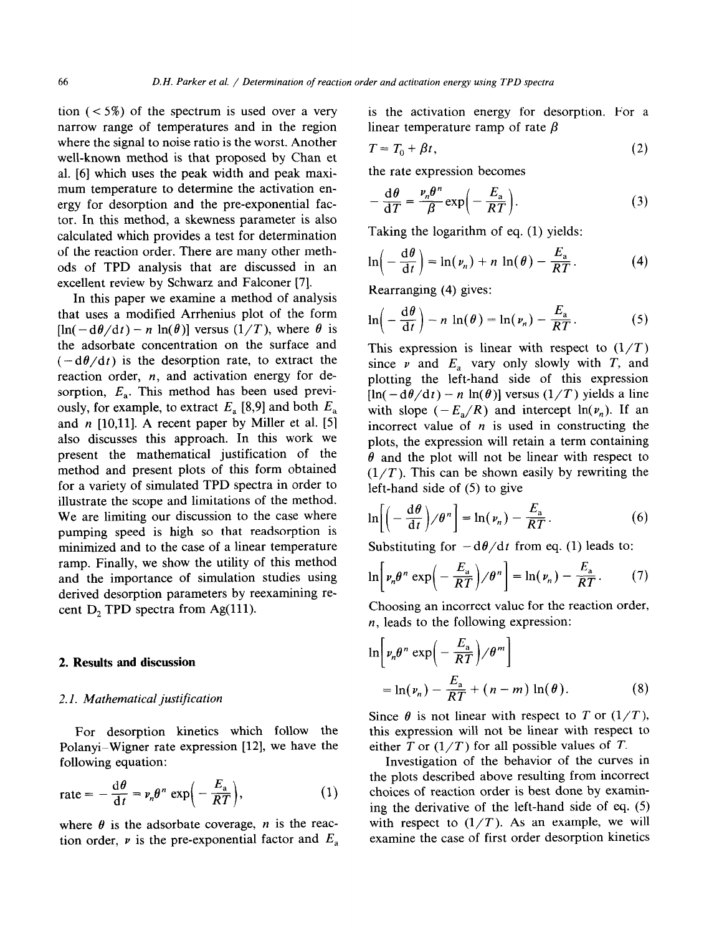tion  $(< 5\%)$  of the spectrum is used over a very narrow range of temperatures and in the region where the signal to noise ratio is the worst. Another well-known method is that proposed by Chan et al. [6] which uses the peak width and peak maximum temperature to determine the activation energy for desorption and the pre-exponential factor. In this method, a skewness parameter is also calculated which provides a test for determination of the reaction order. There are many other methods of TPD analysis that are discussed in an excellent review by Schwarz and Falconer [7].

In this paper we examine a method of analysis that uses a modified Arrhenius plot of the form  $[\ln(-d\theta/dt) - n \ln(\theta)]$  versus  $(1/T)$ , where  $\theta$  is the adsorbate concentration on the surface and  $(-d\theta/dt)$  is the desorption rate, to extract the reaction order,  $n$ , and activation energy for desorption, *E,.* This method has been used previously, for example, to extract  $E_a$  [8,9] and both  $E_a$ and  $n$  [10,11]. A recent paper by Miller et al. [5] also discusses this approach. In this work we present the mathematical justification of the method and present plots of this form obtained for a variety of simulated TPD spectra in order to illustrate the scope and limitations of the method. We are limiting our discussion to the case where pumping speed is high so that readsorption is minimized and to the case of a linear temperature ramp. Finally, we show the utility of this method and the importance of simulation studies using derived desorption parameters by reexamining recent  $D_2$  TPD spectra from Ag(111).

# 2. **Results and discussion**

#### 2.1. *Mathematical justification*

For desorption kinetics which follow the Polanyi-Wigner rate expression [12], we have the following equation:

$$
\text{rate} = -\frac{\mathrm{d}\theta}{\mathrm{d}t} = \nu_n \theta^n \exp\left(-\frac{E_a}{RT}\right),\tag{1}
$$

where  $\theta$  is the adsorbate coverage, *n* is the reaction order,  $\nu$  is the pre-exponential factor and  $E_a$  is the activation energy for desorption. For a linear temperature ramp of rate  $\beta$ 

$$
T = T_0 + \beta t, \tag{2}
$$

the rate expression becomes

$$
-\frac{d\theta}{dT} = \frac{v_n \theta^n}{\beta} \exp\left(-\frac{E_a}{RT}\right).
$$
 (3)

Taking the logarithm of eq. (1) yields:

$$
\ln\left(-\frac{\mathrm{d}\theta}{\mathrm{d}t}\right) = \ln(\nu_n) + n \ln(\theta) - \frac{E_a}{RT}.\tag{4}
$$

Rearranging (4) gives:

$$
\ln\left(-\frac{\mathrm{d}\theta}{\mathrm{d}t}\right)-n\,\ln(\theta)=\ln(\nu_n)-\frac{E_a}{RT}.\tag{5}
$$

This expression is linear with respect to  $(1/T)$ since  $\nu$  and  $E_a$  vary only slowly with *T*, and plotting the left-hand side of this expression  $[\ln(-d\theta/dt) - n \ln(\theta)]$  versus  $(1/T)$  yields a line with slope  $(-E_a/R)$  and intercept  $ln(v_n)$ . If an incorrect value of  $n$  is used in constructing the plots, the expression will retain a term containing  $\theta$  and the plot will not be linear with respect to  $(1/T)$ . This can be shown easily by rewriting the left-hand side of (5) to give

$$
\ln\left[\left(-\frac{d\theta}{dt}\right)/\theta^n\right] = \ln(\nu_n) - \frac{E_a}{RT}.
$$
 (6)

Substituting for  $-\frac{d\theta}{dt}$  from eq. (1) leads to:

$$
\ln\bigg[\nu_n\theta^n\exp\bigg(-\frac{E_a}{RT}\bigg)/\theta^n\bigg]=\ln(\nu_n)-\frac{E_a}{RT}.\qquad(7)
$$

Choosing an incorrect value for the reaction order, n, leads to the following expression:

$$
\ln \left[ \nu_n \theta^n \exp \left( -\frac{E_a}{RT} \right) / \theta^m \right]
$$
  
=  $\ln(\nu_n) - \frac{E_a}{RT} + (n-m) \ln(\theta)$ . (8)

Since  $\theta$  is not linear with respect to *T* or  $(1/T)$ , this expression will not be linear with respect to either *T* or  $(1/T)$  for all possible values of *T*.

Investigation of the behavior of the curves in the plots described above resulting from incorrect choices of reaction order is best done by examining the derivative of the left-hand side of eq. (5) with respect to  $(1/T)$ . As an example, we will examine the case of first order desorption kinetics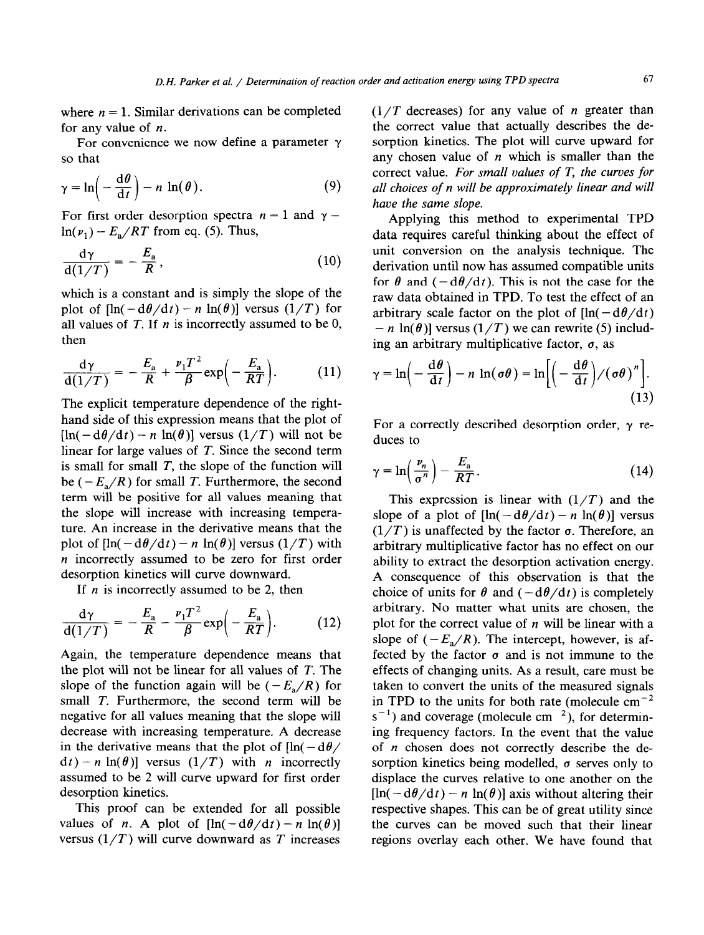where  $n = 1$ . Similar derivations can be completed for any value of  $n$ .

For convenience we now define a parameter  $\gamma$ so that

$$
\gamma = \ln\left(-\frac{\mathrm{d}\theta}{\mathrm{d}t}\right) - n \ln(\theta). \tag{9}
$$

For first order desorption spectra  $n = 1$  and  $\gamma =$  $ln(\nu_1) - E_a/RT$  from eq. (5). Thus,

$$
\frac{\mathrm{d}\gamma}{\mathrm{d}(1/T)} = -\frac{E_a}{R},\qquad(10)
$$

which is a constant and is simply the slope of the plot of  $[\ln(-d\theta/dt) - n \ln(\theta)]$  versus  $(1/T)$  for all values of  $T$ . If  $n$  is incorrectly assumed to be 0, then

$$
\frac{\mathrm{d}\gamma}{\mathrm{d}(1/T)} = -\frac{E_{\rm a}}{R} + \frac{\nu_1 T^2}{\beta} \exp\left(-\frac{E_{\rm a}}{RT}\right). \tag{11}
$$

The explicit temperature dependence of the righthand side of this expression means that the plot of  $[\ln(-d\theta/dt) - n \ln(\theta)]$  versus  $(1/T)$  will not be linear for large values of *T.* Since the second term is small for small *T,* the slope of the function will be  $(-E_a/R)$  for small *T*. Furthermore, the second term will be positive for all values meaning that the slope will increase with increasing temperature. An increase in the derivative means that the plot of  $[\ln(-d\theta/dt) - n \ln(\theta)]$  versus  $(1/T)$  with n incorrectly assumed to be zero for first order desorption kinetics will curve downward.

If  $n$  is incorrectly assumed to be 2, then

$$
\frac{\mathrm{d}\gamma}{\mathrm{d}(1/T)} = -\frac{E_{\rm a}}{R} - \frac{\nu_1 T^2}{\beta} \exp\left(-\frac{E_{\rm a}}{RT}\right). \tag{12}
$$

Again, the temperature dependence means that the plot will not be linear for all values of *T.* The slope of the function again will be  $(-E_2/R)$  for small *T*. Furthermore, the second term will be negative for all values meaning that the slope will decrease with increasing temperature. A decrease in the derivative means that the plot of  $\ln(-d\theta)$  $d(t) - n \ln(\theta)$  versus  $(1/T)$  with *n* incorrectly assumed to be 2 will curve upward for first order desorption kinetics.

This proof can be extended for all possible values of *n*. A plot of  $[\ln(-d\theta/dt) - n \ln(\theta)]$ versus  $(1/T)$  will curve downward as *T* increases

 $(1/T)$  decreases) for any value of *n* greater than the correct value that actually describes the desorption kinetics. The plot will curve upward for any chosen value of  $n$  which is smaller than the correct value. *For small values of T, the curves for all choices of n will be approximately linear and will have the* same *slope.* 

Applying this method to experimental TPD data requires careful thinking about the effect of unit conversion on the analysis technique. The derivation until now has assumed compatible units for  $\theta$  and  $(-d\theta/dt)$ . This is not the case for the raw data obtained in TPD. To test the effect of an arbitrary scale factor on the plot of  $[\ln(-d\theta/dt)]$  $-n \ln(\theta)$ ] versus (1/T) we can rewrite (5) including an arbitrary multiplicative factor,  $\sigma$ , as

$$
\gamma = \ln\left(-\frac{d\theta}{dt}\right) - n \ln(\sigma\theta) = \ln\left[\left(-\frac{d\theta}{dt}\right) / (\sigma\theta)^n\right].
$$
\n(13)

For a correctly described desorption order,  $\gamma$  reduces to

$$
\gamma = \ln\left(\frac{\nu_n}{\sigma^n}\right) - \frac{E_a}{RT} \,. \tag{14}
$$

This expression is linear with  $(1/T)$  and the slope of a plot of  $[\ln(-d\theta/dt) - n \ln(\theta)]$  versus  $(1/T)$  is unaffected by the factor  $\sigma$ . Therefore, an arbitrary multiplicative factor has no effect on our ability to extract the desorption activation energy. A consequence of this observation is that the choice of units for  $\theta$  and  $(-d\theta/dt)$  is completely arbitrary. No matter what units are chosen, the plot for the correct value of  $n$  will be linear with a slope of  $(-E_a/R)$ . The intercept, however, is affected by the factor  $\sigma$  and is not immune to the effects of changing units. As a result, care must be taken to convert the units of the measured signals in TPD to the units for both rate (molecule  $cm^{-2}$ )  $s^{-1}$ ) and coverage (molecule cm<sup>-2</sup>), for determining frequency factors. In the event that the value of n chosen does not correctly describe the desorption kinetics being modelled,  $\sigma$  serves only to displace the curves relative to one another on the  $[\ln(-d\theta/dt) - n \ln(\theta)]$  axis without altering their respective shapes. This can be of great utility since the curves can be moved such that their linear regions overlay each other. We have found that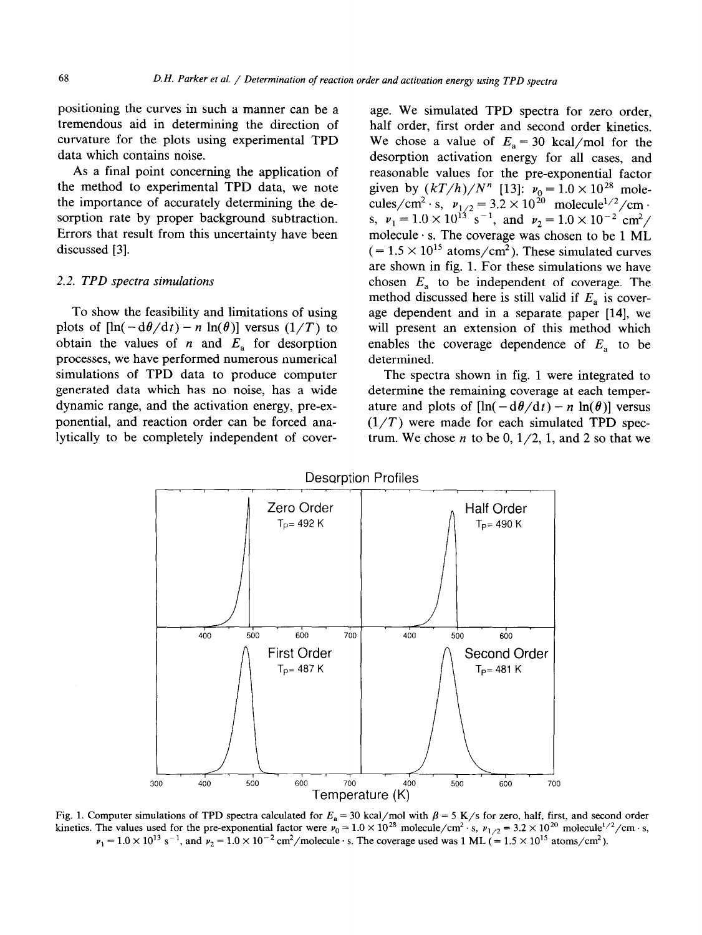positioning the curves in such a manner can be a tremendous aid in determining the direction of curvature for the plots using experimental TPD data which contains noise.

As a final point concerning the application of the method to experimental TPD data, we note the importance of accurately determining the desorption rate by proper background subtraction. Errors that result from this uncertainty have been discussed [3].

# 2.2. *TPD spectra simulations*

To show the feasibility and limitations of using plots of  $[\ln(-d\theta/dt) - n \ln(\theta)]$  versus  $(1/T)$  to obtain the values of *n* and  $E<sub>a</sub>$  for desorption processes, we have performed numerous numerical simulations of TPD data to produce computer generated data which has no noise, has a wide dynamic range, and the activation energy, pre-exponential, and reaction order can be forced analytically to be completely independent of cover-

age. We simulated TPD spectra for zero order, half order, first order and second order kinetics. We chose a value of  $E_a = 30$  kcal/mol for the desorption activation energy for all cases, and reasonable values for the pre-exponential factor given by  $(kT/h)/N''$  [13]:  $v_0 = 1.0 \times 10^{28}$  mole cules/cm<sup>2</sup> · s,  $v_{1/2} = 3.2 \times 10^{20}$  molecule<sup>1/2</sup>/cm · s,  $v_1 = 1.0 \times 10^{13}$  s<sup>-1</sup>, and  $v_2 = 1.0 \times 10^{-2}$  cm<sup>2</sup>/ molecule  $\cdot$  s. The coverage was chosen to be 1 ML  $(= 1.5 \times 10^{15} \text{ atoms/cm}^2)$ . These simulated curves are shown in fig. 1. For these simulations we have chosen *E,* to be independent of coverage. The method discussed here is still valid if  $E_a$  is coverage dependent and in a separate paper [14], we will present an extension of this method which enables the coverage dependence of  $E_a$  to be determined.

The spectra shown in fig. 1 were integrated to determine the remaining coverage at each temperature and plots of  $[\ln(-d\theta/dt) - n \ln(\theta)]$  versus  $(1/T)$  were made for each simulated TPD spectrum. We chose *n* to be  $0, 1/2, 1$ , and 2 so that we



Fig. 1. Computer simulations of TPD spectra calculated for  $E_a = 30$  kcal/mol with  $\beta = 5$  K/s for zero, half, first, and second order kinetics. The values used for the pre-exponential factor were  $v_0 = 1.0 \times 10^{28}$  molecule/cm<sup>2</sup> · s,  $v_{1/2} = 3.2 \times 10^{20}$  molecule<sup>1/2</sup>/cm · s,  $y_1 = 1.0 \times 10^{13}$  s<sup>-1</sup>, and  $y_2 = 1.0 \times 10^{-2}$  cm<sup>2</sup>/molecule  $\cdot$  s. The coverage used was 1 ML (= 1.5  $\times$  10<sup>15</sup> atoms/cm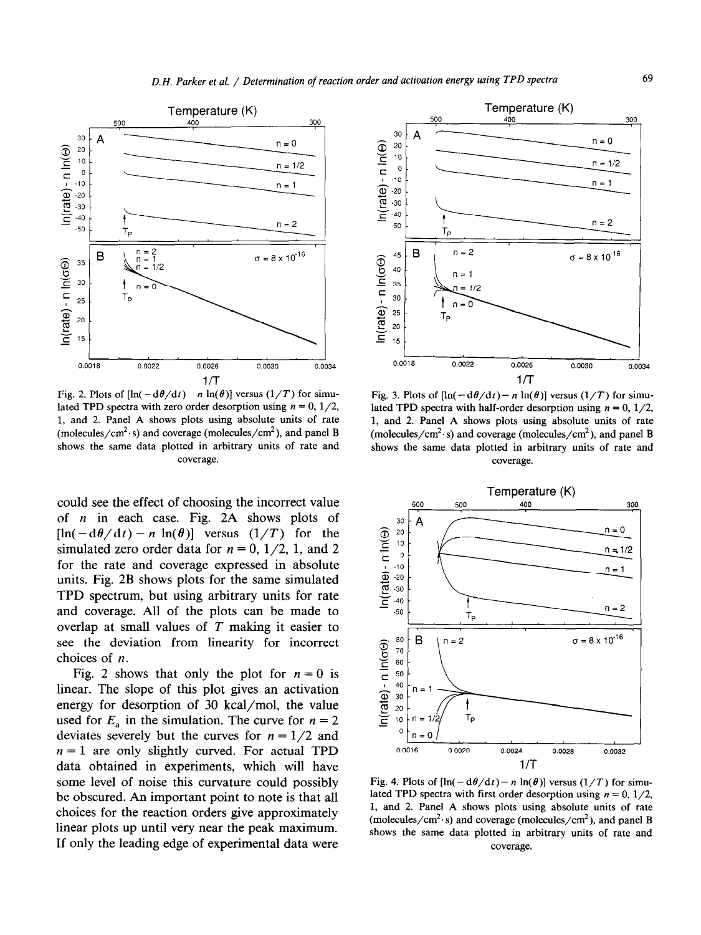

Fig. 2. Plots of  $[\ln(-\frac{d\theta}{dt}) - n \ln(\theta)]$  versus  $(1/T)$  for simulated TPD spectra with zero order desorption using  $n = 0, 1/2$ , 1, and 2. Panel A shows plots using absolute units of rate (molecules/cm<sup>2</sup> $\cdot$ s) and coverage (molecules/cm<sup>2</sup>), and panel B shows the same data plotted in arbitrary units of rate and coverage.

could see the effect of choosing the incorrect value of n in each case. Fig. 2A shows plots of  $[\ln(-\mathrm{d}\theta/\mathrm{d}t) - n \ln(\theta)]$  versus  $(1/T)$  for the simulated zero order data for  $n = 0, 1/2, 1$ , and 2 for the rate and coverage expressed in absolute units. Fig. 2B shows plots for the same simulated TPD spectrum, but using arbitrary units for rate and coverage. All of the plots can be made to overlap at small values of *T* making it easier to see the deviation from linearity for incorrect choices of n.

Fig. 2 shows that only the plot for  $n = 0$  is linear. The slope of this plot gives an activation energy for desorption of 30 kcal/mol, the value used for  $E_a$  in the simulation. The curve for  $n = 2$ deviates severely but the curves for  $n = 1/2$  and  $n = 1$  are only slightly curved. For actual TPD data obtained in experiments, which will have some level of noise this curvature could possibly be obscured. An important point to note is that all choices for the reaction orders give approximately linear plots up until very near the peak maximum. If only the leading edge of experimental data were



Fig. 3. Plots of  $[\ln(-\frac{d\theta}{d}) - n \ln(\theta)]$  versus  $(1/T)$  for simulated TPD spectra with half-order desorption using  $n = 0, 1/2$ , 1, and 2. Panel A shows plots using absolute units of rate (molecules/cm<sup>2</sup> $\cdot$ s) and coverage (molecules/cm<sup>2</sup>), and panel B shows the same data plotted in arbitrary units of rate and coverage.



Fig. 4. Plots of  $[\ln(-d\theta/dt)-n \ln(\theta)]$  versus  $(1/T)$  for simulated TPD spectra with first order desorption using  $n = 0, 1/2$ , 1, and 2. Panel A shows plots using absolute units of rate (molecules/cm<sup>2</sup> $\cdot$ s) and coverage (molecules/cm<sup>2</sup>), and panel B shows the same data plotted in arbitrary units of rate and coverage.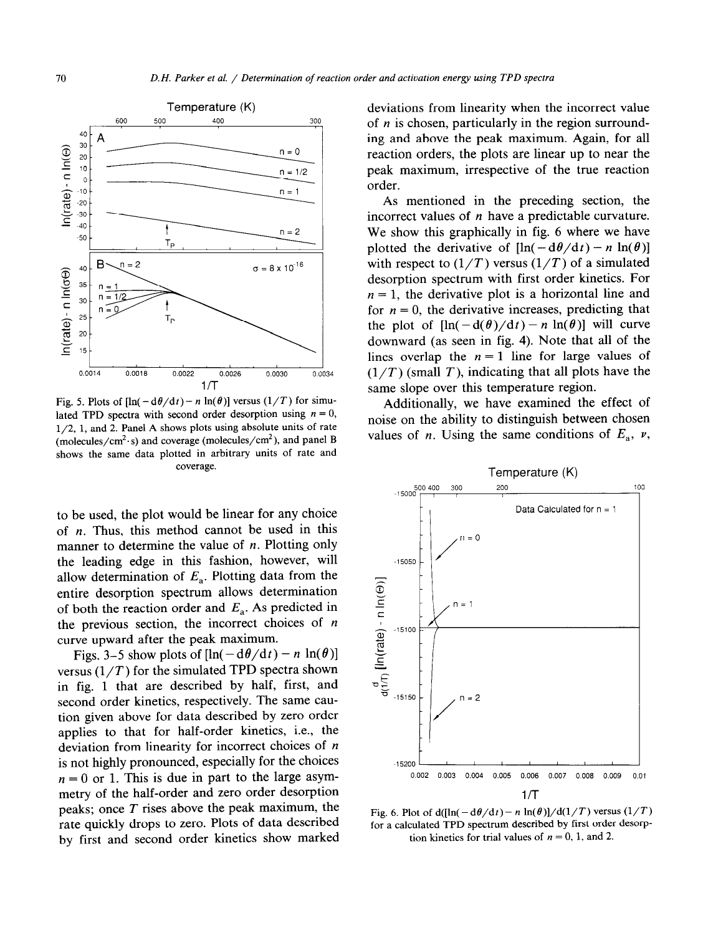

Fig. 5. Plots of  $[\ln(-d\theta/dt)-n \ln(\theta)]$  versus  $(1/T)$  for simulated TPD spectra with second order desorption using  $n = 0$ , l/2, 1, and 2. Panel A shows plots using absolute units of rate (molecules/cm<sup>2</sup> $\cdot$ s) and coverage (molecules/cm<sup>2</sup>), and panel B shows the same data plotted in arbitrary units of rate and coverage.

to be used, the plot would be linear for any choice of  $n$ . Thus, this method cannot be used in this manner to determine the value of  $n$ . Plotting only the leading edge in this fashion, however, will allow determination of  $E_a$ . Plotting data from the entire desorption spectrum allows determination of both the reaction order and  $E_a$ . As predicted in the previous section, the incorrect choices of  $n$ curve upward after the peak maximum.

Figs. 3–5 show plots of  $[\ln(-\frac{d\theta}{dt}) - n \ln(\theta)]$ versus  $(1/T)$  for the simulated TPD spectra shown in fig. 1 that are described by half, first, and second order kinetics, respectively. The same caution given above for data described by zero order applies to that for half-order kinetics, i.e., the deviation from linearity for incorrect choices of n is not highly pronounced, especially for the choices  $n = 0$  or 1. This is due in part to the large asymmetry of the half-order and zero order desorption peaks; once *T rises* above the peak maximum, the rate quickly drops to zero. Plots of data described by first and second order kinetics show marked deviations from linearity when the incorrect value of  $n$  is chosen, particularly in the region surrounding and above the peak maximum. Again, for all reaction orders, the plots are linear up to near the peak maximum, irrespective of the true reaction order.

As mentioned in the preceding section, the incorrect values of  $n$  have a predictable curvature. We show this graphically in fig. 6 where we have plotted the derivative of  $[\ln(-d\theta/dt) - n \ln(\theta)]$ with respect to  $(1/T)$  versus  $(1/T)$  of a simulated desorption spectrum with first order kinetics. For  $n = 1$ , the derivative plot is a horizontal line and for  $n = 0$ , the derivative increases, predicting that the plot of  $[\ln(-d(\theta)/dt) - n \ln(\theta)]$  will curve downward (as seen in fig. 4). Note that all of the lines overlap the  $n = 1$  line for large values of  $(1/T)$  (small T), indicating that all plots have the same slope over this temperature region.

Additionally, we have examined the effect of noise on the ability to distinguish between chosen values of *n*. Using the same conditions of  $E_a$ ,  $\nu$ ,



Fig. 6. Plot of  $d([ln(-d\theta/dt) - n ln(\theta)]/d(1/T)$  versus  $(1/T)$ for a calculated TPD spectrum described by first order desorption kinetics for trial values of  $n = 0, 1$ , and 2.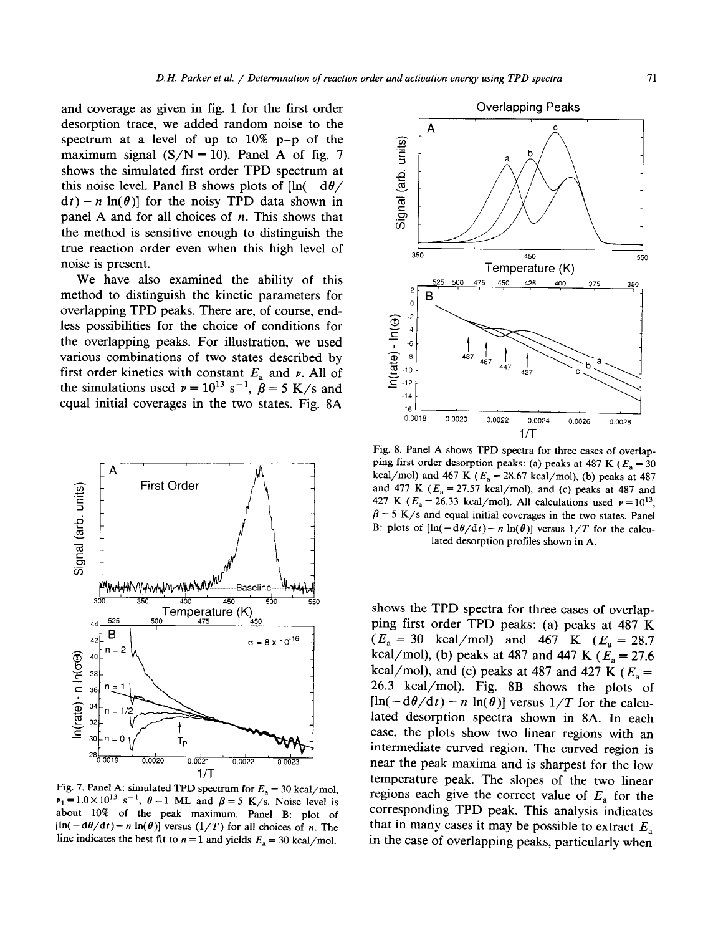and coverage as given in fig. 1 for the first order desorption trace, we added random noise to the spectrum at a level of up to 10% p-p of the maximum signal  $(S/N = 10)$ . Panel A of fig. 7 shows the simulated first order TPD spectrum at this noise level. Panel B shows plots of  $\ln(-d\theta)$  $dt$ ) - n ln( $\theta$ )] for the noisy TPD data shown in panel A and for all choices of  $n$ . This shows that the method is sensitive enough to distinguish the true reaction order even when this high level of noise is present.

We have also examined the ability of this method to distinguish the kinetic parameters for overlapping TPD peaks. There are, of course, endless possibilities for the choice of conditions for the overlapping peaks. For illustration, we used various combinations of two states described by first order kinetics with constant  $E_a$  and  $\nu$ . All of the simulations used  $v = 10^{13}$  s<sup>-1</sup>,  $\beta = 5$  K/s and equal initial coverages in the two states. Fig. 8A



Fig. 7. Panel A: simulated TPD spectrum for  $E_a = 30$  kcal/mol,  $\nu_1 = 1.0 \times 10^{13} \text{ s}^{-1}$ ,  $\theta = 1$  ML and  $\beta = 5$  K/s. Noise level is about 10% of the peak maximum. Panel B: plot of  $[\ln(-d\theta/dt) - n \ln(\theta)]$  versus  $(1/T)$  for all choices of n. The line indicates the best fit to  $n = 1$  and yields  $E_a = 30$  kcal/mol.



Fig. 8. Panel A shows TPD spectra for three cases of overlapping first order desorption peaks: (a) peaks at 487 K ( $E_a = 30$ kcal/mol) and 467 K ( $E_a = 28.67$  kcal/mol), (b) peaks at 487 and 477 K  $(E_a = 27.57 \text{ kcal/mol})$ , and (c) peaks at 487 and 427 K ( $E_a = 26.33$  kcal/mol). All calculations used  $\nu = 10^{13}$ ,  $\beta = 5$  K/s and equal initial coverages in the two states. Panel B: plots of  $[\ln(-d\theta/dt)-n \ln(\theta)]$  versus  $1/T$  for the calculated desorption profiles shown in A.

shows the TPD spectra for three cases of overlapping first order TPD peaks: (a) peaks at 487 K *(E, =* 30 kcal/mol) and 467 K *(E, =* 28.7 kcal/mol), (b) peaks at 487 and 447 K  $(E_a = 27.6$ kcal/mol), and (c) peaks at 487 and 427 K *(E, =*  26.3 kcal/mol). Fig. 8B shows the plots of  $[\ln(-d\theta/dt) - n \ln(\theta)]$  versus  $1/T$  for the calculated desorption spectra shown in 8A. In each case, the plots show two linear regions with an intermediate curved region. The curved region is near the peak maxima and is sharpest for the low temperature peak. The slopes of the two linear regions each give the correct value of  $E_a$  for the corresponding TPD peak. This analysis indicates that in many cases it may be possible to extract  $E_a$ in the case of overlapping peaks, particularly when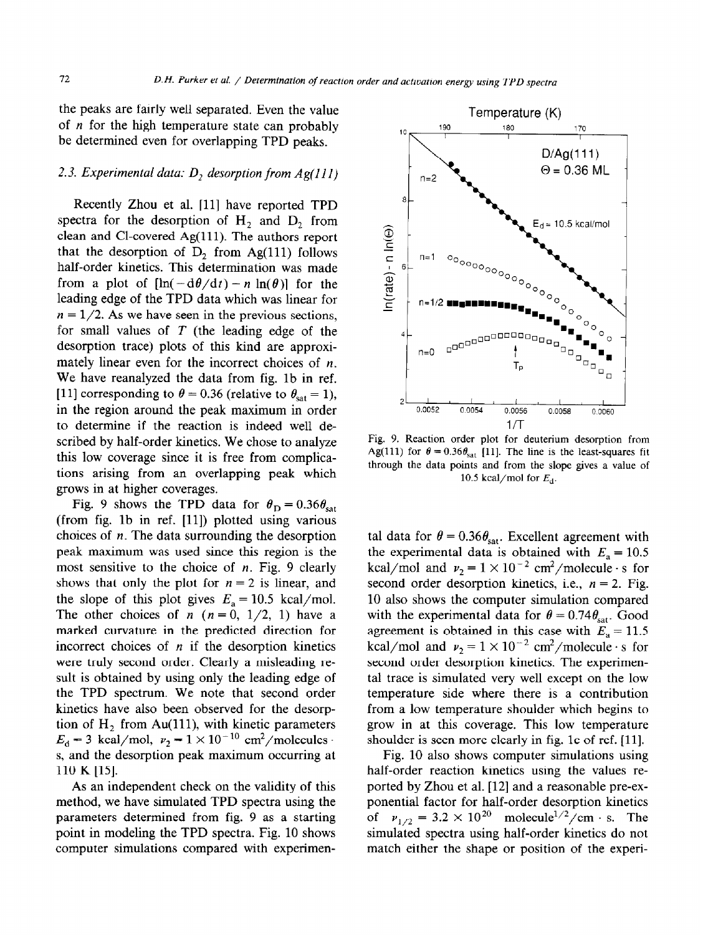the peaks are fairly well separated. Even the value of *n* for the high temperature state can probably be determined even for overlapping TPD peaks.

# 2.3. *Experimental data: D, desorption from Ag(l1 I)*

Recently Zhou et al. [ll] have reported TPD spectra for the desorption of  $H_2$  and  $D_2$  from clean and Cl-covered Ag(ll1). The authors report that the desorption of  $D_2$  from Ag(111) follows half-order kinetics. This determination was made from a plot of  $[\ln(-d\theta/dt) - n \ln(\theta)]$  for the leading edge of the TPD data which was linear for  $n = 1/2$ . As we have seen in the previous sections, for small values of *T* (the leading edge of the desorption trace) plots of this kind are approximately linear even for the incorrect choices of  $n$ . We have reanalyzed the data from fig. lb in ref. [11] corresponding to  $\theta = 0.36$  (relative to  $\theta_{\text{sat}} = 1$ ), in the region around the peak maximum in order to determine if the reaction is indeed well described by half-order kinetics. We chose to analyze this low coverage since it is free from complications arising from an overlapping peak which grows in at higher coverages.

Fig. 9 shows the TPD data for  $\theta_{\rm D} = 0.36 \theta_{\rm sat}$ (from fig. lb in ref. [ll]) plotted using various choices of  $n$ . The data surrounding the desorption peak maximum was used since this region is the most sensitive to the choice of  $n$ . Fig. 9 clearly shows that only the plot for  $n = 2$  is linear, and the slope of this plot gives  $E_a = 10.5$  kcal/mol. The other choices of n  $(n = 0, 1/2, 1)$  have a marked curvature in the predicted direction for incorrect choices of  $n$  if the desorption kinetics were truly second order. Clearly a misleading result is obtained by using only the leading edge of the TPD spectrum. We note that second order kinetics have also been observed for the desorption of  $H_2$  from Au(111), with kinetic parameters  $E = 3$  keel/mol, v<sub>2</sub>  $1 \times 10^{-10}$  cm<sup>2</sup>/molecules  $s_{\rm s}$  s new, max,  $r_{\rm s}$  and  $s_{\rm m}$  and  $r_{\rm s}$  maximum occurring at s, and the desorption peak maximum occurring at 110 K [15].

**As** an independent check on the validity of this method, we have simulated TPD spectra using the parameters determined from fig. 9 as a starting point in modeling the TPD spectra. Fig. 10 shows computer simulations compared with experimen-



Fig. *9.* Reaction order plot for deuterium desorption from Ag(111) for  $\theta = 0.36\theta_{\text{sat}}$  [11]. The line is the least-squares fit through the data points and from the slope gives a value of 10.5 kcal/mol for  $E_d$ .

tal data for  $\theta = 0.36 \theta_{\text{sat}}$ . Excellent agreement with the experimental data is obtained with  $E_a = 10.5$ kcal/mol and  $v_2 = 1 \times 10^{-2}$  cm<sup>2</sup>/molecule · s for second order desorption kinetics, i.e.,  $n = 2$ . Fig. 10 also shows the computer simulation compared with the experimental data for  $\theta = 0.74 \theta_{\text{sat}}$ . Good agreement is obtained in this case with  $E_a = 11.5$ kcal/mol and  $v_2 = 1 \times 10^{-2}$  cm<sup>2</sup>/molecule · s for second order desorption kinetics. The experimental trace is simulated very well except on the low temperature side where there is a contribution from a low temperature shoulder which begins to grow in at this coverage. This low temperature shoulder is seen more clearly in fig. lc of ref. [II].

Fig. 10 also shows computer simulations using  $\Gamma$ half-order reaction kinetics using the values rehalf-order reaction kinetics using the values reported by Zhou et al. [12] and a reasonable pre-exponential factor for half-order desorption kinetics of  $v_{1/2} = 3.2 \times 10^{20}$  molecule<sup>1/2</sup>/cm · s. The  $\frac{1}{2}$  spectra using half-order kinetics do not simulated spectra using hari-order kineties do not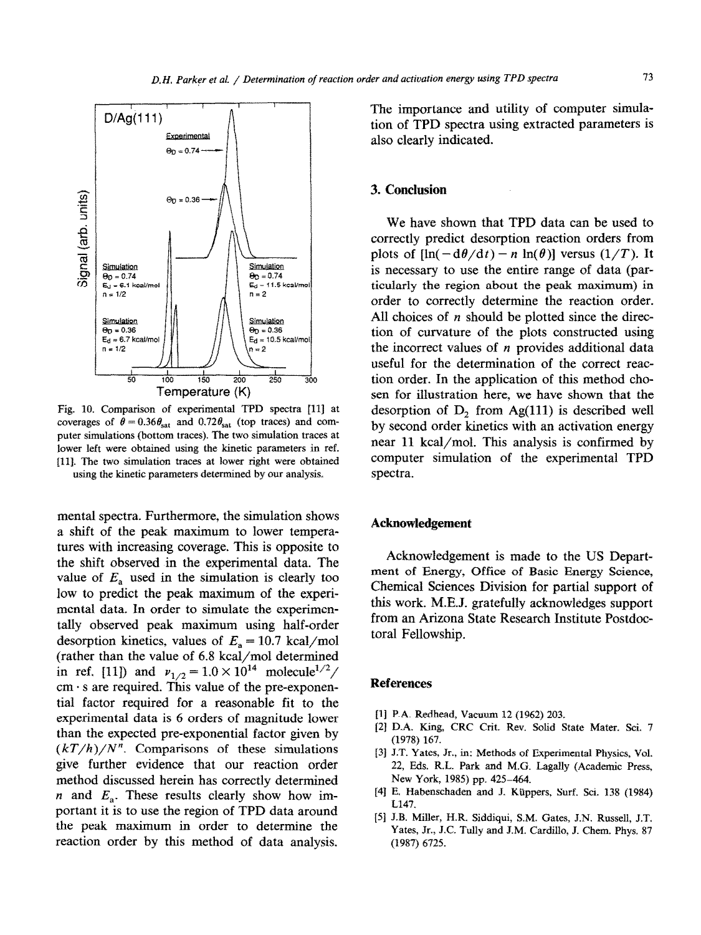

Fig. 10. Comparison of experimental TPD spectra [11] at coverages of  $\theta = 0.36 \theta_{\text{sat}}$  and  $0.72 \theta_{\text{sat}}$  (top traces) and computer simulations (bottom traces). The two simulation traces at lower left were obtained using the kinetic parameters in ref. Ill]. The two simulation traces at lower right were obtained using the kinetic parameters determined by our analysis,

mental spectra. Furthermore, the simulation shows a shift of the peak maximum to lower temperatures with increasing coverage. This is opposite to the shift observed in the experimental data. The value of  $E_a$  used in the simulation is clearly too low to predict the peak maximum of the experimental data. In order to simulate the experimentally observed peak maximum using half-order desorption kinetics, values of  $E_a = 10.7$  kcal/mol (rather than the value of 6.8 kcal/mol determined in ref. [11]) and  $v_{1/2} = 1.0 \times 10^{14}$  molecule<sup>1/2</sup>/  $cm \cdot s$  are required. This value of the pre-exponential factor required for a reasonable fit to the experimental data is 6 orders of magnitude lower than the expected pre-exponential factor given by  $(kT/h)/N<sup>n</sup>$ . Comparisons of these simulations give further evidence that our reaction order method discussed herein has correctly determined  $n$  and  $E_a$ . These results clearly show how important it is to use the region of TPD data around the peak maximum in order to determine the reaction order by this method of data analysis.

The importance and utility of computer simulation of TPD spectra using extracted parameters is also clearly indicated.

## 3. **Conclusion**

**We** have shown that TFD data can be used to correctly predict desorption reaction orders from plots of  $[\ln(-d\theta/dt) - n \ln(\theta)]$  versus  $(1/T)$ . It is necessary to use the entire range of data (particularly the region about the peak maximum) in order to correctly determine the reaction order. All choices of  $n$  should be plotted since the direction of curvature of the plots constructed using the incorrect values of  $n$  provides additional data useful for the determination of the correct reaction order. In the application of this method chosen for illustration here, we have shown that the desorption of  $D<sub>2</sub>$  from Ag(111) is described well by second order kinetics with an activation energy near 11 kcal/mol. This analysis is confirmed by computer simulation of the experimental TPD spectra.

# **Acknowledgement**

Acknowledgement is made to the US Department of Energy, Office of Basic Energy Science, Chemical Sciences Division for partial support of this work. M.E.J. gratefully acknowledges support from an Arizona State Research Institute Postdoctoral Fellowship.

# **References**

- **[I]** P.A. Redhead, Vacuum 12 (1962) 203.
- [2] D.A. King, CRC Crit. Rev. Solid State Mater. Sci. 7 (1978) 167.
- [3] J.T. Yates, Jr., in: Methods of Experimental Physics, Vol. 22, Fds. R.L. Park and M.G. Lagally (Academic Press, New York, 1985) pp. 425-464.
- [4] E. Habenschaden and J. Kiippers. Surf. Sci. 138 (1984) L147.
- [51 J.B. Miller, H.R. Siddiqui, SM. Gates, J.N. Russell, J.T. Yates, Jr., J.C. Tully and J.M. Cardillo, J. Chem. Phys. 87 (1987) 6725.